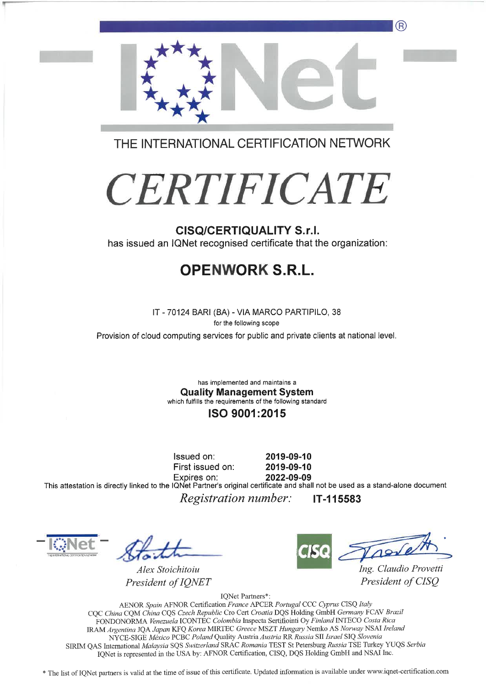

THE INTERNATIONAL CERTIFICATION NETWORK

# **CERTIFICATE**

## **CISQ/CERTIQUALITY S.r.I.**

has issued an IQNet recognised certificate that the organization:

# **OPENWORK S.R.L.**

IT - 70124 BARI (BA) - VIA MARCO PARTIPILO, 38

for the following scope Provision of cloud computing services for public and private clients at national level.

> has implemented and maintains a **Quality Management System** which fulfills the requirements of the following standard

## ISO 9001:2015

Issued on: First issued on: 2019-09-10 2019-09-10

2022-09-09 Expires on: This attestation is directly linked to the IQNet Partner's original certificate and shall not be used as a stand-alone document *Registration number:* IT-115583

Alex Stoichitoiu President of IQNET

Ing. Claudio Provetti President of CISO

IQNet Partners\*:

AENOR Spain AFNOR Certification France APCER Portugal CCC Cyprus CISQ Italy CQC China CQM China CQS Czech Republic Cro Cert Croatia DQS Holding GmbH Germany FCAV Brazil FONDONORMA Venezuela ICONTEC Colombia Inspecta Sertifiointi Oy Finland INTECO Costa Rica IRAM Argentina JQA Japan KFQ Korea MIRTEC Greece MSZT Hungary Nemko AS Norway NSAI Ireland NYCE-SIGE México PCBC Poland Quality Austria Austria RR Russia SII Israel SIQ Slovenia SIRIM QAS International Malaysia SQS Switzerland SRAC Romania TEST St Petersburg Russia TSE Turkey YUQS Serbia IQNet is represented in the USA by: AFNOR Certification, CISQ, DQS Holding GmbH and NSAI Inc.

\* The list of IQNet partners is valid at the time of issue of this certificate. Updated information is available under www.iqnet-certification.com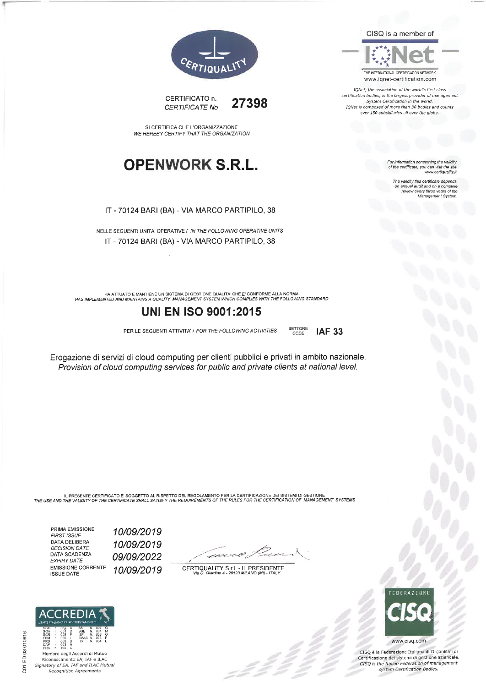



IQNet, the association of the world's first class certification bodies, is the largest provider of managen<br>System Certification in the world. IQNet is composed of more than 30 bodies and counts<br>over 150 subsidiaries all over the globe.

For information concerning the validity<br>of the certificate, you can visit the site<br>www.certiquality.it

The validity this certifi on annual audit and on a complete review every three years of the Management System



CERTIFICATO n. 27398 CERTIFICATE No

SI CERTIFICA CHE L'ORGANIZZAZIONE WE HEREBY CERTIFY THAT THE ORGANIZATION

# **OPENWORK S.R.L.**

IT - 70124 BARI (BA) - VIA MARCO PARTIPILO, 38

NELLE SEGUENTI UNITA' OPERATIVE / IN THE FOLLOWING OPERATIVE UNITS IT - 70124 BARI (BA) - VIA MARCO PARTIPILO, 38

HA ATTUATO E MANTIENE UN SISTEMA DI GESTIONE QUALITA' CHE E' CONFORME ALLA NORMA<br>HAS IMPLEMENTED AND MAINTAINS A QUALITY MANAGEMENT SYSTEM WHICH COMPLIES WITH THE FOLLOWING STANDARD

## **UNI EN ISO 9001:2015**

PER LE SEGUENTI ATTIVITA' / FOR THE FOLLOWING ACTIVITIES

Erogazione di servizi di cloud computing per clienti pubblici e privati in ambito nazionale. Provision of cloud computing services for public and private clients at national level.

SETTORE<br>CODE

**IAF 33** 

IL PRESENTE CERTIFICATO E' SOGGETTO AL RISPETTO DEL REGOLAMENTO PER LA CERTIFICAZIONE DEI SISTEMI DI GESTIONE<br>THE USE AND THE VALIDITY OF THE CERTIFICATE SHALL SATISFY THE REQUIREMENTS OF THE RULES FOR THE CERTIFICATION OF

PRIMA EMISSIONE **FIRST ISSUE** DATA DELIBERA DECISION DATE DATA SCADENZA EXPIRY DATE **EMISSIONE CORRENTE ISSUE DATE** 

10/09/2019 10/09/2019 09/09/2022 10/09/2019

<u>saire</u>

CERTIQUALITY S.r.l. - IL PRESIDENTE<br>Via G. Giardino 4 - 20123 MILANO (MI) - ITALY



www.cisq.com

CISQ è la Federazione Italiana di Organismi di Certificazione dei sistemi di gestione aziendale CISQ is the Italian Federation of management system Certification Bodies.



SCF<br>FSM<br>DAF<br>PRS  $002$ <br> $006$ <br> $008$ <br> $003$ <br> $100$ n<br>n<br>n EMAS Membro degli Accordi di Mutuo Riconoscimento EA, IAF e ILAC Signatory of EA, IAF and ILAC Mutual Recognition Agreements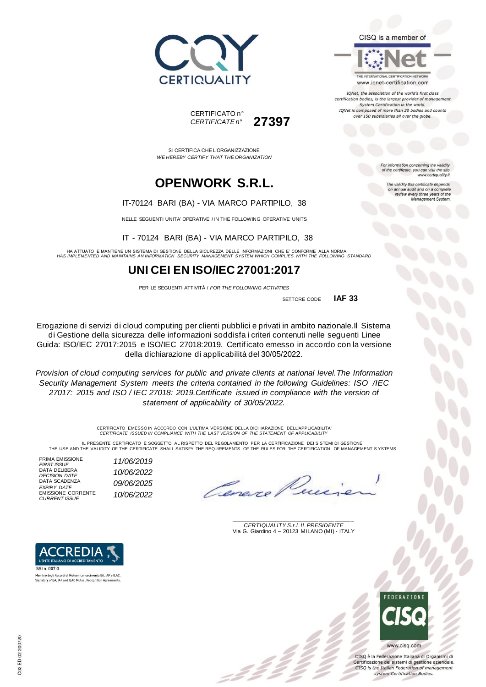

#### CISQ is a member of

THE INTERNATIONAL CERTIFICATION NETWORK www.iqnet-certification.com

IQNet, the association of the world's first class certification bodies, is the largest provider of managen System Certification in the world. IQNet is composed of more than 30 bodies and counts over 150 subsidiaries all over the globe.

> tion concerning the validity of the certificate, you can visit the sit

The validity this certificate depends on annual audit and on a complete<br>review every three years of the<br>Management System.

www.certiquality.it

CERTIFICATO n° *CERTIFICATE n°* **27397**

SI CERTIFICA CHE L'ORGANIZZAZIONE *WE HEREBY CERTIFY THAT THE ORGANIZATION*

# **OPENWORK S.R.L.**

#### IT-70124 BARI (BA) - VIA MARCO PARTIPILO, 38

NELLE SEGUENTI UNITA' OPERATIVE / IN THE FOLLOWING OPERATIVE UNITS

IT - 70124 BARI (BA) - VIA MARCO PARTIPILO, 38

HA ATTUATO E MANTIENE UN SISTEMA DI GESTIONE DELLA SICUREZZA DELLE INFORMAZIONI CHE E' CONFORME ALLA NORMA<br>HAS IMPLEMENTED AND MAINTAINS AN INFORMATION SECURITY MANAGEMENT SYSTEM WHICH COMPLIES WITH THE FOLLOWING STANDA

## **UNI CEI EN ISO/IEC 27001:2017**

PER LE SEGUENTI ATTIVITÀ / *FOR THE FOLLOWING ACTIVITIES*

 SETTORE CODE **IAF 33**

Erogazione di servizi di cloud computing per clienti pubblici e privati in ambito nazionale.Il Sistema di Gestione della sicurezza delle informazioni soddisfa i criteri contenuti nelle seguenti Linee Guida: ISO/IEC 27017:2015 e ISO/IEC 27018:2019. Certificato emesso in accordo con la versione della dichiarazione di applicabilità del 30/05/2022.

*Provision of cloud computing services for public and private clients at national level.The Information Security Management System meets the criteria contained in the following Guidelines: ISO /IEC 27017: 2015 and ISO / IEC 27018: 2019.Certificate issued in compliance with the version of statement of applicability of 30/05/2022.*

CERTIFICATO EMESSO IN ACCORDO CON L'ULTIMA VERSIONE DELLA DICHIARAZIONE DELL'APPLICABILITA' *CERTIFICATE ISSUED IN COMPLIANCE WITH THE LAST VERSION OF THE STATEMENT OF APPLICABILITY*

IL PRESENTE CERTIFICATO E SOGGETTO AL RISPETTO DEL REGOLAMENTO PER LA CERTIFICAZIONE DEI SISTEMI DI GESTIONE<br>THE USE AND THE VALIDITY OF THE CERTIFICATE SHALL SATISFY THE REQUIREMENTS OF THE RULES FOR THE CERTIFICATION OF

PRIMA EMISSIONE *FIRST ISSUE 11/06/2019* DATA DELIBERA *DECISION DATE 10/06/2022* DATA SCADENZA *EXPIRY DATE 09/06/2025* EMISSIONE CORRENTE

*CURRENT ISSUE 10/06/2022*



Membro degli Accordi di Mutuo rico scimento EA, IAF e ILAO Signatory of EA, IAF and ILAC Mutual Recognition Agreements

\_\_\_\_\_\_\_\_\_\_\_\_\_\_\_\_\_\_\_\_\_\_\_\_\_\_\_\_\_\_\_\_\_\_\_\_\_\_\_ *CERTIQUALITY S.r.l. IL PRESIDENTE* Via G. Giardino 4 – 20123 MILANO (MI) - ITALY



CISO è la Federazione Italiana di Organismi di Certificazione dei sistemi di gestione aziendale. CISQ is the Italian Federation of management system Certification Bodies.

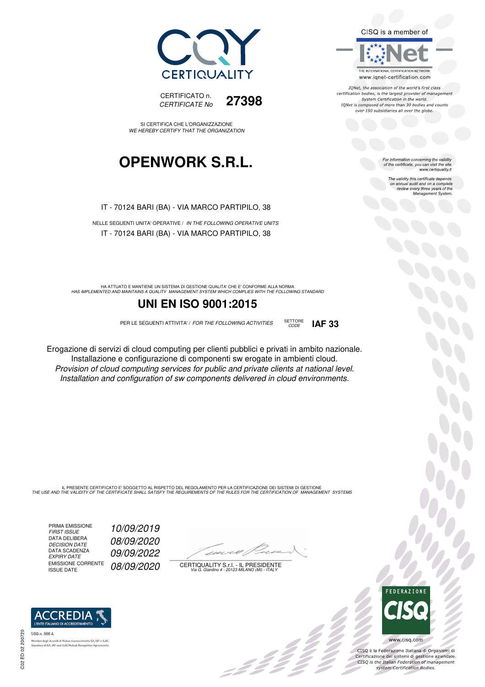



SI CERTIFICA CHE L'ORGANIZZAZIONE WE HEREBY CERTIFY THAT THE ORGANIZATION

# **OPENWORK S.R.L.**

IT - 70124 BARI (BA) - VIA MARCO PARTIPILO, 38

NELLE SEGUENTI UNITA' OPERATIVE / IN THE FOLLOWING OPERATIVE UNITS IT - 70124 BARI (BA) - VIA MARCO PARTIPILO, 38

HA ATTUATO E MANTIENE UN SISTEMA DI GESTIONE QUALITA' CHE E' CONFORME ALLA NORMA<br>HAS IMPLEMENTED AND MAINTAINS A QUALITY MANAGEMENT SYSTEM WHICH COMPLIES WITH THE FOLLOWING STANDARD

## **UNI EN ISO 9001:2015**

PER LE SEGUENTI ATTIVITA' / FOR THE FOLLOWING ACTIVITIES SETTORE

CODE **IAF 33**

Erogazione di servizi di cloud computing per clienti pubblici e privati in ambito nazionale. Installazione e configurazione di componenti sw erogate in ambienti cloud. Provision of cloud computing services for public and private clients at national level. Installation and configuration of sw components delivered in cloud environments.

IL PRESENTE CERTIFICATO E' SOGGETTO AL RISPETTO DEL REGOLAMENTO PER LA CERTIFICAZIONE DEI SISTEMI DI GESTIONE<br>THE USE AND THE VALIDITY OF THE CERTIFICATE SHALL SATISFY THE REQUIREMENTS OF THE RULES FOR THE CERTIFICATION OF

PRIMA EMISSIONE<br>FIRST ISSUE DATA DELIBERA DECISION DATE<br>DATA SCADENZA<br>EXPIRY DATE EMISSIONE CORRENTE<br>ISSUE DATE

FIRST ISSUE 10/09/2019 08/09/2020 09/09/2022 08/09/2020

 $\overline{\phantom{a}}$ 

:42 Z

CERTIQUALITY S.r.l. - IL PRESIDENTE Via G. Giardino 4 - 20123 MILANO (MI) - ITALY



 $\frac{1}{2}$ 

CISQ è la Federazione Italiana di Organismi di Certificazione dei sistemi di gestione aziendale.<br>CISQ is the Italian Federation of management

system Certification Bodies.

ACCREDIA SGQ n. 008 A

tory of EA, IAF and ILAC Mutual Recognit



IONet, the association of the world's first class certification bodies, is the largest provider of management System Certification in the world. IQNet is composed of more than 30 bodies and counts over 150 subsidiaries all over the globe.

For information concerning the validity<br>of the certificate, you can visit the site<br>www.certiquality.it

The validity this certificate depends on annual audit and on a complete review every three years of the Management System.